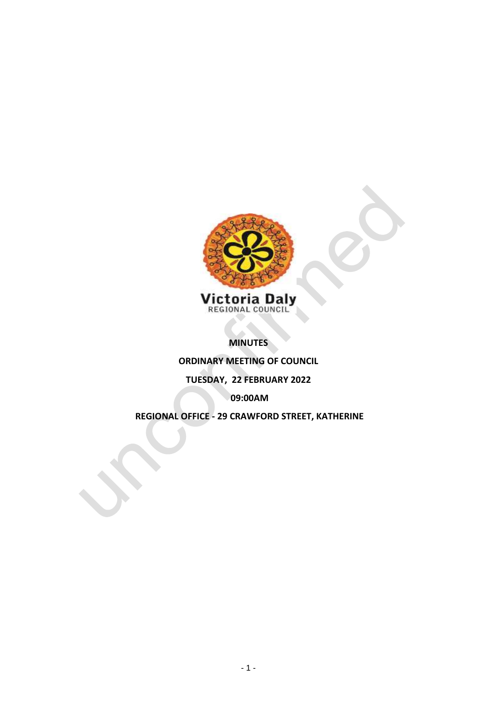

**MINUTES** 

**ORDINARY MEETING OF COUNCIL**

# **TUESDAY, 22 FEBRUARY 2022**

**09:00AM**

**REGIONAL OFFICE - 29 CRAWFORD STREET, KATHERINE**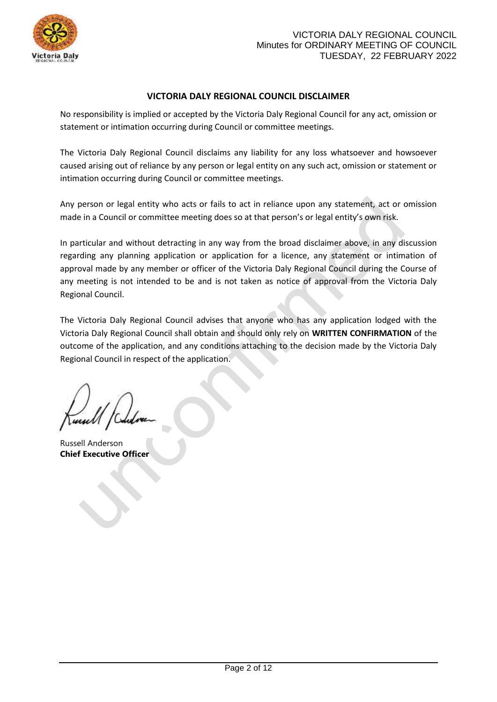

# **VICTORIA DALY REGIONAL COUNCIL DISCLAIMER**

No responsibility is implied or accepted by the Victoria Daly Regional Council for any act, omission or statement or intimation occurring during Council or committee meetings.

The Victoria Daly Regional Council disclaims any liability for any loss whatsoever and howsoever caused arising out of reliance by any person or legal entity on any such act, omission or statement or intimation occurring during Council or committee meetings.

Any person or legal entity who acts or fails to act in reliance upon any statement, act or omission made in a Council or committee meeting does so at that person's or legal entity's own risk.

In particular and without detracting in any way from the broad disclaimer above, in any discussion regarding any planning application or application for a licence, any statement or intimation of approval made by any member or officer of the Victoria Daly Regional Council during the Course of any meeting is not intended to be and is not taken as notice of approval from the Victoria Daly Regional Council.

The Victoria Daly Regional Council advises that anyone who has any application lodged with the Victoria Daly Regional Council shall obtain and should only rely on **WRITTEN CONFIRMATION** of the outcome of the application, and any conditions attaching to the decision made by the Victoria Daly Regional Council in respect of the application.

Russell Anderson **Chief Executive Officer**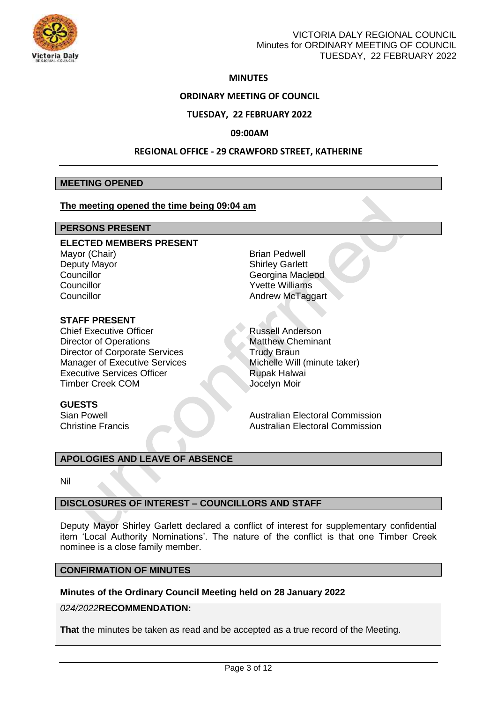

## **MINUTES**

## **ORDINARY MEETING OF COUNCIL**

## **TUESDAY, 22 FEBRUARY 2022**

#### **09:00AM**

#### **REGIONAL OFFICE - 29 CRAWFORD STREET, KATHERINE**

#### **MEETING OPENED**

#### **The meeting opened the time being 09:04 am**

## **PERSONS PRESENT**

**ELECTED MEMBERS PRESENT** Mayor (Chair) **Brian Pedwell** Deputy Mayor **Shirley Garlett**<br>
Councillor Councillor Councillor Councillor **Councillor** Councillor Councillor **Councillor** Councillor

## **STAFF PRESENT**

Chief Executive Officer Russell Anderson Director of Operations Matthew Cheminant Director of Corporate Services Trudy Braun Manager of Executive Services Michelle Will (minute taker) Executive Services Officer Rupak Halwai Timber Creek COM Jocelyn Moir

Georgina Macleod

Sian Powell **Australian Electoral Commission** Christine Francis Australian Electoral Commission

#### **APOLOGIES AND LEAVE OF ABSENCE**

Nil

**GUESTS**

#### **DISCLOSURES OF INTEREST – COUNCILLORS AND STAFF**

Deputy Mayor Shirley Garlett declared a conflict of interest for supplementary confidential item 'Local Authority Nominations'. The nature of the conflict is that one Timber Creek nominee is a close family member.

# **CONFIRMATION OF MINUTES**

## **Minutes of the Ordinary Council Meeting held on 28 January 2022**

# *024/2022***RECOMMENDATION:**

**That** the minutes be taken as read and be accepted as a true record of the Meeting.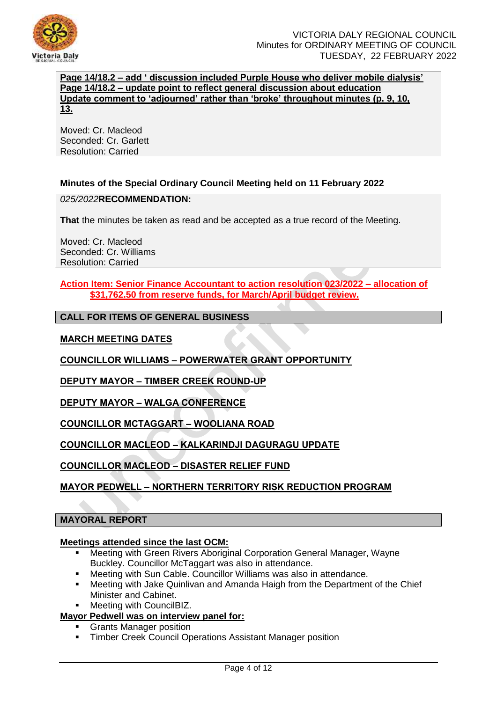

**Page 14/18.2 – add ' discussion included Purple House who deliver mobile dialysis' Page 14/18.2 – update point to reflect general discussion about education Update comment to 'adjourned' rather than 'broke' throughout minutes (p. 9, 10, 13.**

Moved: Cr. Macleod Seconded: Cr. Garlett Resolution: Carried

# **Minutes of the Special Ordinary Council Meeting held on 11 February 2022**

## *025/2022***RECOMMENDATION:**

**That** the minutes be taken as read and be accepted as a true record of the Meeting.

Moved: Cr. Macleod Seconded: Cr. Williams Resolution: Carried

**Action Item: Senior Finance Accountant to action resolution 023/2022 – allocation of \$31,762.50 from reserve funds, for March/April budget review.** 

# **CALL FOR ITEMS OF GENERAL BUSINESS**

# **MARCH MEETING DATES**

**COUNCILLOR WILLIAMS – POWERWATER GRANT OPPORTUNITY** 

**DEPUTY MAYOR – TIMBER CREEK ROUND-UP**

**DEPUTY MAYOR – WALGA CONFERENCE** 

**COUNCILLOR MCTAGGART – WOOLIANA ROAD** 

**COUNCILLOR MACLEOD – KALKARINDJI DAGURAGU UPDATE** 

**COUNCILLOR MACLEOD – DISASTER RELIEF FUND** 

# **MAYOR PEDWELL – NORTHERN TERRITORY RISK REDUCTION PROGRAM**

#### **MAYORAL REPORT**

#### **Meetings attended since the last OCM:**

- Meeting with Green Rivers Aboriginal Corporation General Manager, Wayne Buckley. Councillor McTaggart was also in attendance.
- Meeting with Sun Cable. Councillor Williams was also in attendance.
- Meeting with Jake Quinlivan and Amanda Haigh from the Department of the Chief Minister and Cabinet.
- Meeting with CouncilBIZ.

## **Mayor Pedwell was on interview panel for:**

- Grants Manager position
- **Timber Creek Council Operations Assistant Manager position**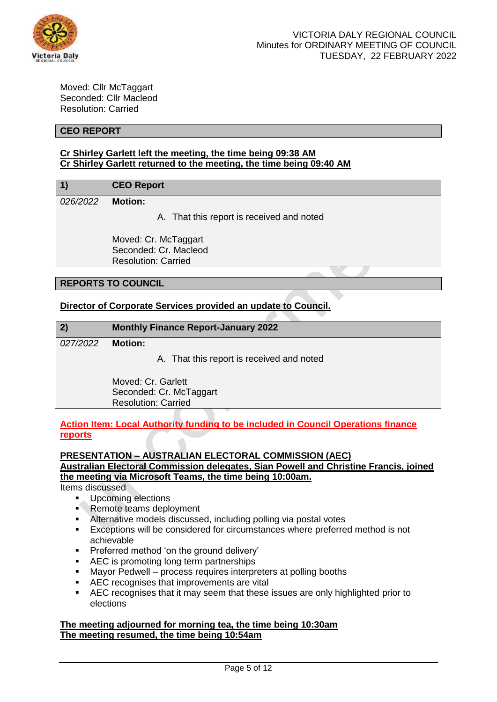

Moved: Cllr McTaggart Seconded: Cllr Macleod Resolution: Carried

## **CEO REPORT**

# **Cr Shirley Garlett left the meeting, the time being 09:38 AM Cr Shirley Garlett returned to the meeting, the time being 09:40 AM**

# **1) CEO Report**

# *026/2022* **Motion:**

A. That this report is received and noted

Moved: Cr. McTaggart Seconded: Cr. Macleod Resolution: Carried

## **REPORTS TO COUNCIL**

# **Director of Corporate Services provided an update to Council.**

| 2)       | <b>Monthly Finance Report-January 2022</b>                                        |
|----------|-----------------------------------------------------------------------------------|
| 027/2022 | <b>Motion:</b>                                                                    |
|          | A. That this report is received and noted                                         |
|          | Moved: Cr. Garlett                                                                |
|          | Seconded: Cr. McTaggart                                                           |
|          | <b>Resolution: Carried</b>                                                        |
|          | Action Item: Local Authority funding to be included in Council Operations finance |
| reports  |                                                                                   |
|          | <b>PRESENTATION - AUSTRALIAN ELECTORAL COMMISSION (AEC)</b>                       |

**Australian Electoral Commission delegates, Sian Powell and Christine Francis, joined the meeting via Microsoft Teams, the time being 10:00am.** 

Items discussed

- **Upcoming elections**<br>**Remote teams deply**
- Remote teams deployment
- Alternative models discussed, including polling via postal votes
- **Exceptions will be considered for circumstances where preferred method is not** achievable
- **Preferred method 'on the ground delivery'**
- **AEC** is promoting long term partnerships
- Mayor Pedwell process requires interpreters at polling booths
- **AEC** recognises that improvements are vital
- AEC recognises that it may seem that these issues are only highlighted prior to elections

## **The meeting adjourned for morning tea, the time being 10:30am The meeting resumed, the time being 10:54am**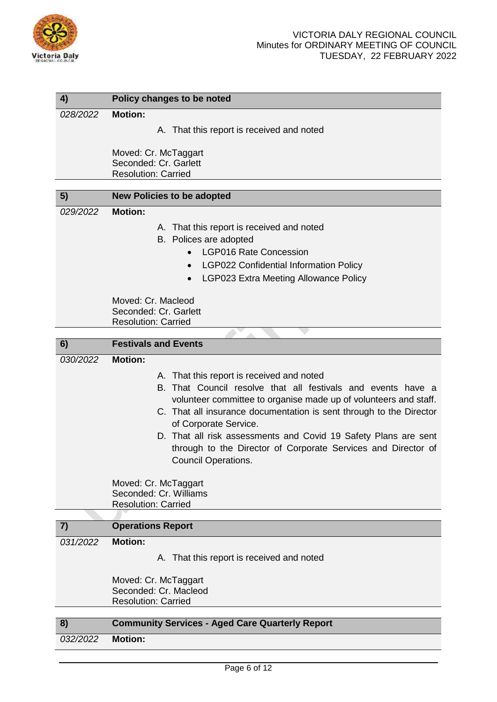

| 4)       | Policy changes to be noted                                          |  |  |  |  |
|----------|---------------------------------------------------------------------|--|--|--|--|
| 028/2022 | <b>Motion:</b>                                                      |  |  |  |  |
|          |                                                                     |  |  |  |  |
|          | A. That this report is received and noted                           |  |  |  |  |
|          | Moved: Cr. McTaggart                                                |  |  |  |  |
|          | Seconded: Cr. Garlett                                               |  |  |  |  |
|          | <b>Resolution: Carried</b>                                          |  |  |  |  |
| 5)       |                                                                     |  |  |  |  |
|          | <b>New Policies to be adopted</b>                                   |  |  |  |  |
| 029/2022 | <b>Motion:</b>                                                      |  |  |  |  |
|          | A. That this report is received and noted                           |  |  |  |  |
|          | B. Polices are adopted                                              |  |  |  |  |
|          | <b>LGP016 Rate Concession</b><br>$\bullet$                          |  |  |  |  |
|          | <b>LGP022 Confidential Information Policy</b>                       |  |  |  |  |
|          | LGP023 Extra Meeting Allowance Policy<br>$\bullet$                  |  |  |  |  |
|          |                                                                     |  |  |  |  |
|          | Moved: Cr. Macleod                                                  |  |  |  |  |
|          | Seconded: Cr. Garlett                                               |  |  |  |  |
|          | <b>Resolution: Carried</b>                                          |  |  |  |  |
| 6)       | <b>Festivals and Events</b>                                         |  |  |  |  |
| 030/2022 | <b>Motion:</b>                                                      |  |  |  |  |
|          |                                                                     |  |  |  |  |
|          | A. That this report is received and noted                           |  |  |  |  |
|          | B. That Council resolve that all festivals and events have a        |  |  |  |  |
|          | volunteer committee to organise made up of volunteers and staff.    |  |  |  |  |
|          | C. That all insurance documentation is sent through to the Director |  |  |  |  |
|          | of Corporate Service.                                               |  |  |  |  |
|          | D. That all risk assessments and Covid 19 Safety Plans are sent     |  |  |  |  |
|          | through to the Director of Corporate Services and Director of       |  |  |  |  |
|          | <b>Council Operations.</b>                                          |  |  |  |  |
|          |                                                                     |  |  |  |  |
|          | Moved: Cr. McTaggart<br>Seconded: Cr. Williams                      |  |  |  |  |
|          | <b>Resolution: Carried</b>                                          |  |  |  |  |
|          |                                                                     |  |  |  |  |
| 7)       | <b>Operations Report</b>                                            |  |  |  |  |
| 031/2022 | <b>Motion:</b>                                                      |  |  |  |  |
|          | A. That this report is received and noted                           |  |  |  |  |
|          |                                                                     |  |  |  |  |
|          | Moved: Cr. McTaggart                                                |  |  |  |  |
|          | Seconded: Cr. Macleod                                               |  |  |  |  |
|          | <b>Resolution: Carried</b>                                          |  |  |  |  |
| 8)       | <b>Community Services - Aged Care Quarterly Report</b>              |  |  |  |  |
|          | <b>Motion:</b>                                                      |  |  |  |  |
| 032/2022 |                                                                     |  |  |  |  |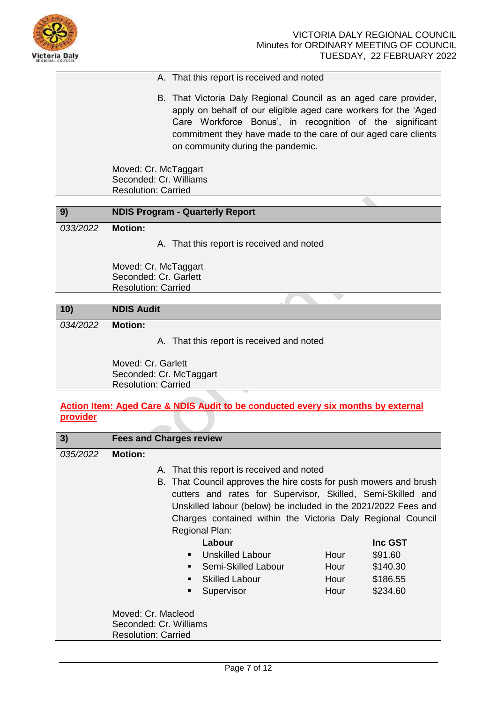

## A. That this report is received and noted

B. That Victoria Daly Regional Council as an aged care provider, apply on behalf of our eligible aged care workers for the 'Aged Care Workforce Bonus', in recognition of the significant commitment they have made to the care of our aged care clients on community during the pandemic.

Moved: Cr. McTaggart Seconded: Cr. Williams Resolution: Carried

| 9)       | <b>NDIS Program - Quarterly Report</b>                                      |  |  |  |  |
|----------|-----------------------------------------------------------------------------|--|--|--|--|
| 033/2022 | <b>Motion:</b>                                                              |  |  |  |  |
|          | A. That this report is received and noted                                   |  |  |  |  |
|          | Moved: Cr. McTaggart<br>Seconded: Cr. Garlett<br><b>Resolution: Carried</b> |  |  |  |  |
|          |                                                                             |  |  |  |  |
| 10)      | <b>NDIS Audit</b>                                                           |  |  |  |  |
| 034/2022 | <b>Motion:</b>                                                              |  |  |  |  |

A. That this report is received and noted

Moved: Cr. Garlett Seconded: Cr. McTaggart Resolution: Carried

# **Action Item: Aged Care & NDIS Audit to be conducted every six months by external provider**

| 3)       | <b>Fees and Charges review</b> |                                              |                                                                                                                                                                                                                                                                                            |      |                |
|----------|--------------------------------|----------------------------------------------|--------------------------------------------------------------------------------------------------------------------------------------------------------------------------------------------------------------------------------------------------------------------------------------------|------|----------------|
| 035/2022 | <b>Motion:</b>                 |                                              |                                                                                                                                                                                                                                                                                            |      |                |
|          |                                |                                              | A. That this report is received and noted                                                                                                                                                                                                                                                  |      |                |
|          |                                |                                              | B. That Council approves the hire costs for push mowers and brush<br>cutters and rates for Supervisor, Skilled, Semi-Skilled and<br>Unskilled labour (below) be included in the 2021/2022 Fees and<br>Charges contained within the Victoria Daly Regional Council<br><b>Regional Plan:</b> |      |                |
|          |                                |                                              | Labour                                                                                                                                                                                                                                                                                     |      | <b>Inc GST</b> |
|          |                                | $\blacksquare$                               | Unskilled Labour                                                                                                                                                                                                                                                                           | Hour | \$91.60        |
|          |                                | $\blacksquare$                               | Semi-Skilled Labour                                                                                                                                                                                                                                                                        | Hour | \$140.30       |
|          |                                |                                              | <b>Skilled Labour</b>                                                                                                                                                                                                                                                                      | Hour | \$186.55       |
|          |                                | ٠                                            | Supervisor                                                                                                                                                                                                                                                                                 | Hour | \$234.60       |
|          | <b>Resolution: Carried</b>     | Moved: Cr. Macleod<br>Seconded: Cr. Williams |                                                                                                                                                                                                                                                                                            |      |                |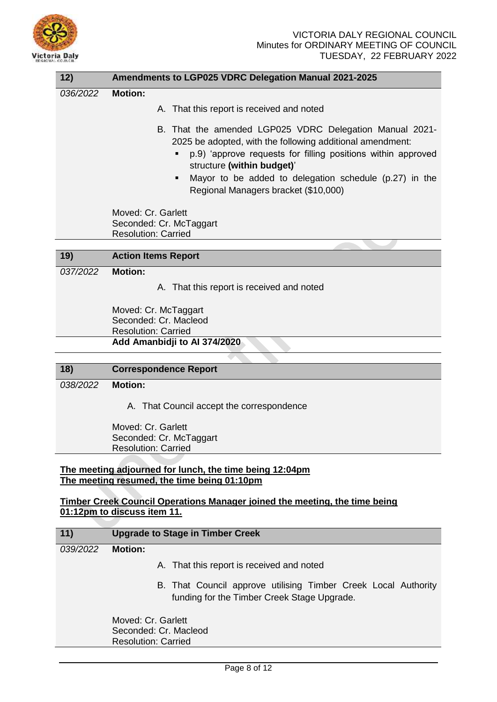

| 12)      | Amendments to LGP025 VDRC Delegation Manual 2021-2025                                                                                                                                                                                                                                                                     |  |  |  |  |
|----------|---------------------------------------------------------------------------------------------------------------------------------------------------------------------------------------------------------------------------------------------------------------------------------------------------------------------------|--|--|--|--|
| 036/2022 | <b>Motion:</b>                                                                                                                                                                                                                                                                                                            |  |  |  |  |
|          | A. That this report is received and noted                                                                                                                                                                                                                                                                                 |  |  |  |  |
|          | B. That the amended LGP025 VDRC Delegation Manual 2021-<br>2025 be adopted, with the following additional amendment:<br>p.9) 'approve requests for filling positions within approved<br>structure (within budget)'<br>Mayor to be added to delegation schedule (p.27) in the<br>٠<br>Regional Managers bracket (\$10,000) |  |  |  |  |
|          | Moved: Cr. Garlett<br>Seconded: Cr. McTaggart<br><b>Resolution: Carried</b>                                                                                                                                                                                                                                               |  |  |  |  |
| 19)      | <b>Action Items Report</b>                                                                                                                                                                                                                                                                                                |  |  |  |  |
|          |                                                                                                                                                                                                                                                                                                                           |  |  |  |  |
| 037/2022 | <b>Motion:</b>                                                                                                                                                                                                                                                                                                            |  |  |  |  |
|          | A. That this report is received and noted                                                                                                                                                                                                                                                                                 |  |  |  |  |
|          | Moved: Cr. McTaggart                                                                                                                                                                                                                                                                                                      |  |  |  |  |
|          | Seconded: Cr. Macleod                                                                                                                                                                                                                                                                                                     |  |  |  |  |
|          | <b>Resolution: Carried</b>                                                                                                                                                                                                                                                                                                |  |  |  |  |
|          | Add Amanbidji to Al 374/2020                                                                                                                                                                                                                                                                                              |  |  |  |  |
|          |                                                                                                                                                                                                                                                                                                                           |  |  |  |  |
| 18)      | <b>Correspondence Report</b>                                                                                                                                                                                                                                                                                              |  |  |  |  |
| 038/2022 | <b>Motion:</b>                                                                                                                                                                                                                                                                                                            |  |  |  |  |
|          | A. That Council accept the correspondence                                                                                                                                                                                                                                                                                 |  |  |  |  |
|          | Moved: Cr. Garlett<br>Seconded: Cr. McTaggart                                                                                                                                                                                                                                                                             |  |  |  |  |

Resolution: Carried

## **The meeting adjourned for lunch, the time being 12:04pm The meeting resumed, the time being 01:10pm**

# **Timber Creek Council Operations Manager joined the meeting, the time being 01:12pm to discuss item 11.**

| 11)      | <b>Upgrade to Stage in Timber Creek</b>                                                                       |
|----------|---------------------------------------------------------------------------------------------------------------|
| 039/2022 | <b>Motion:</b>                                                                                                |
|          | A. That this report is received and noted                                                                     |
|          | B. That Council approve utilising Timber Creek Local Authority<br>funding for the Timber Creek Stage Upgrade. |
|          | Moved: Cr. Garlett<br>Seconded: Cr. Macleod<br><b>Resolution: Carried</b>                                     |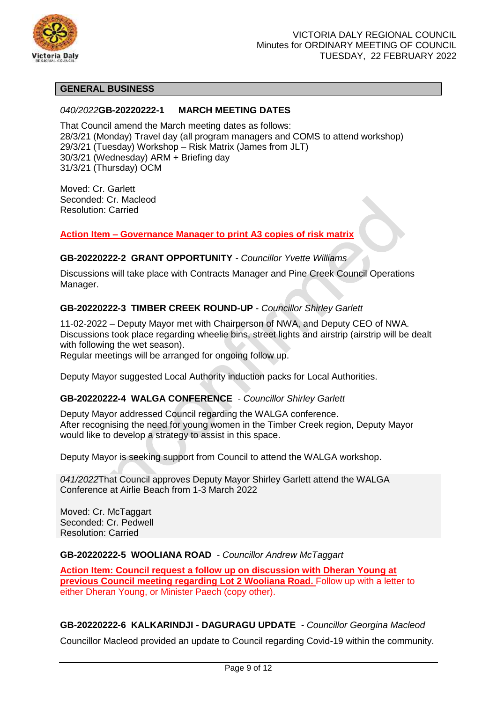

# **GENERAL BUSINESS**

## *040/2022***GB-20220222-1 MARCH MEETING DATES**

That Council amend the March meeting dates as follows: 28/3/21 (Monday) Travel day (all program managers and COMS to attend workshop) 29/3/21 (Tuesday) Workshop – Risk Matrix (James from JLT) 30/3/21 (Wednesday) ARM + Briefing day 31/3/21 (Thursday) OCM

Moved: Cr. Garlett Seconded: Cr. Macleod Resolution: Carried

**Action Item – Governance Manager to print A3 copies of risk matrix** 

## **GB-20220222-2 GRANT OPPORTUNITY** *- Councillor Yvette Williams*

Discussions will take place with Contracts Manager and Pine Creek Council Operations Manager.

## **GB-20220222-3 TIMBER CREEK ROUND-UP** *- Councillor Shirley Garlett*

11-02-2022 – Deputy Mayor met with Chairperson of NWA, and Deputy CEO of NWA. Discussions took place regarding wheelie bins, street lights and airstrip (airstrip will be dealt with following the wet season).

Regular meetings will be arranged for ongoing follow up.

Deputy Mayor suggested Local Authority induction packs for Local Authorities.

#### **GB-20220222-4 WALGA CONFERENCE** *- Councillor Shirley Garlett*

Deputy Mayor addressed Council regarding the WALGA conference. After recognising the need for young women in the Timber Creek region, Deputy Mayor would like to develop a strategy to assist in this space.

Deputy Mayor is seeking support from Council to attend the WALGA workshop.

*041/2022*That Council approves Deputy Mayor Shirley Garlett attend the WALGA Conference at Airlie Beach from 1-3 March 2022

Moved: Cr. McTaggart Seconded: Cr. Pedwell Resolution: Carried

#### **GB-20220222-5 WOOLIANA ROAD** *- Councillor Andrew McTaggart*

**Action Item: Council request a follow up on discussion with Dheran Young at previous Council meeting regarding Lot 2 Wooliana Road.** Follow up with a letter to either Dheran Young, or Minister Paech (copy other).

#### **GB-20220222-6 KALKARINDJI - DAGURAGU UPDATE** *- Councillor Georgina Macleod*

Councillor Macleod provided an update to Council regarding Covid-19 within the community.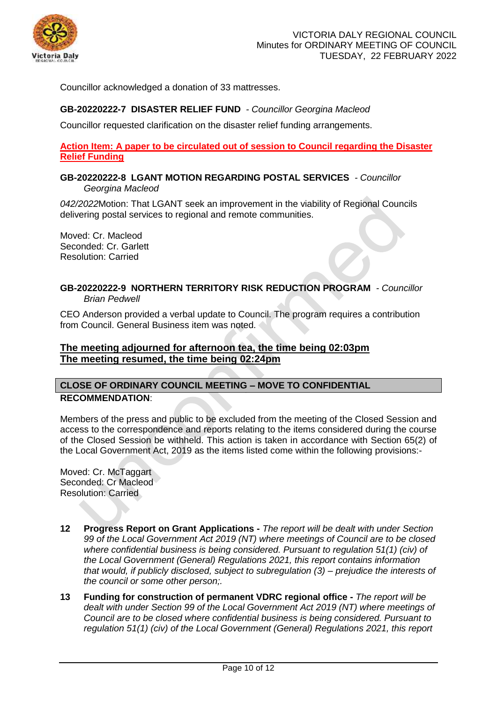

Councillor acknowledged a donation of 33 mattresses.

# **GB-20220222-7 DISASTER RELIEF FUND** *- Councillor Georgina Macleod*

Councillor requested clarification on the disaster relief funding arrangements.

**Action Item: A paper to be circulated out of session to Council regarding the Disaster Relief Funding** 

**GB-20220222-8 LGANT MOTION REGARDING POSTAL SERVICES** *- Councillor Georgina Macleod*

*042/2022*Motion: That LGANT seek an improvement in the viability of Regional Councils delivering postal services to regional and remote communities.

Moved: Cr. Macleod Seconded: Cr. Garlett Resolution: Carried

# **GB-20220222-9 NORTHERN TERRITORY RISK REDUCTION PROGRAM** *- Councillor Brian Pedwell*

CEO Anderson provided a verbal update to Council. The program requires a contribution from Council. General Business item was noted.

# **The meeting adjourned for afternoon tea, the time being 02:03pm The meeting resumed, the time being 02:24pm**

# **CLOSE OF ORDINARY COUNCIL MEETING – MOVE TO CONFIDENTIAL RECOMMENDATION**:

Members of the press and public to be excluded from the meeting of the Closed Session and access to the correspondence and reports relating to the items considered during the course of the Closed Session be withheld. This action is taken in accordance with Section 65(2) of the Local Government Act, 2019 as the items listed come within the following provisions:-

Moved: Cr. McTaggart Seconded: Cr Macleod Resolution: Carried

- **12 Progress Report on Grant Applications -** *The report will be dealt with under Section 99 of the Local Government Act 2019 (NT) where meetings of Council are to be closed where confidential business is being considered. Pursuant to regulation 51(1) (civ) of the Local Government (General) Regulations 2021, this report contains information that would, if publicly disclosed, subject to subregulation (3) – prejudice the interests of the council or some other person;.*
- **13 Funding for construction of permanent VDRC regional office -** *The report will be dealt with under Section 99 of the Local Government Act 2019 (NT) where meetings of Council are to be closed where confidential business is being considered. Pursuant to regulation 51(1) (civ) of the Local Government (General) Regulations 2021, this report*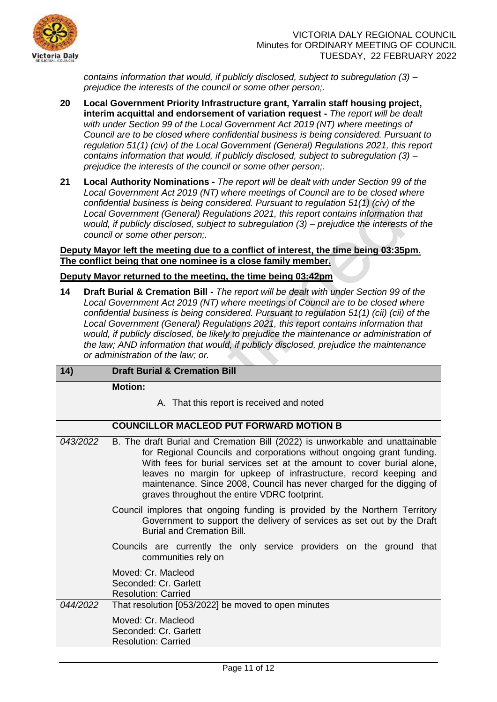

*contains information that would, if publicly disclosed, subject to subregulation (3) – prejudice the interests of the council or some other person;.*

- **20 Local Government Priority Infrastructure grant, Yarralin staff housing project, interim acquittal and endorsement of variation request -** *The report will be dealt with under Section 99 of the Local Government Act 2019 (NT) where meetings of Council are to be closed where confidential business is being considered. Pursuant to regulation 51(1) (civ) of the Local Government (General) Regulations 2021, this report contains information that would, if publicly disclosed, subject to subregulation (3) – prejudice the interests of the council or some other person;.*
- **21 Local Authority Nominations -** *The report will be dealt with under Section 99 of the Local Government Act 2019 (NT) where meetings of Council are to be closed where confidential business is being considered. Pursuant to regulation 51(1) (civ) of the Local Government (General) Regulations 2021, this report contains information that would, if publicly disclosed, subject to subregulation (3) – prejudice the interests of the council or some other person;.*

## **Deputy Mayor left the meeting due to a conflict of interest, the time being 03:35pm. The conflict being that one nominee is a close family member.**

# **Deputy Mayor returned to the meeting, the time being 03:42pm**

**14 Draft Burial & Cremation Bill -** *The report will be dealt with under Section 99 of the Local Government Act 2019 (NT) where meetings of Council are to be closed where confidential business is being considered. Pursuant to regulation 51(1) (cii) (cii) of the Local Government (General) Regulations 2021, this report contains information that*  would, if publicly disclosed, be likely to prejudice the maintenance or administration of *the law; AND information that would, if publicly disclosed, prejudice the maintenance or administration of the law; or.*

# **14) Draft Burial & Cremation Bill**

**Motion:**

A. That this report is received and noted

# **COUNCILLOR MACLEOD PUT FORWARD MOTION B**

- *043/2022* B. The draft Burial and Cremation Bill (2022) is unworkable and unattainable for Regional Councils and corporations without ongoing grant funding. With fees for burial services set at the amount to cover burial alone, leaves no margin for upkeep of infrastructure, record keeping and maintenance. Since 2008, Council has never charged for the digging of graves throughout the entire VDRC footprint. Council implores that ongoing funding is provided by the Northern Territory Government to support the delivery of services as set out by the Draft Burial and Cremation Bill.
	- Councils are currently the only service providers on the ground that communities rely on

Moved: Cr. Macleod Seconded: Cr. Garlett

Resolution: Carried

*044/2022* That resolution [053/2022] be moved to open minutes

Moved: Cr. Macleod Seconded: Cr. Garlett Resolution: Carried